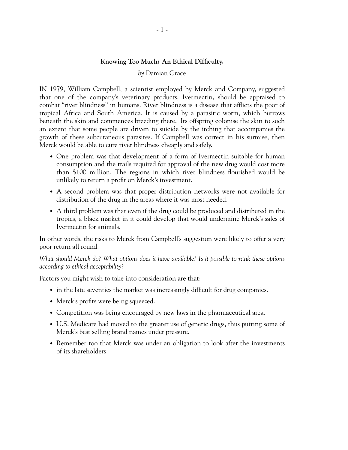## **Knowing Too Much: An Ethical Difficulty.**

## *by* Damian Grace

IN 1979, William Campbell, a scientist employed by Merck and Company, suggested that one of the company's veterinary products, Ivermectin, should be appraised to combat "river blindness" in humans. River blindness is a disease that afflicts the poor of tropical Africa and South America. It is caused by a parasitic worm, which burrows beneath the skin and commences breeding there. Its offspring colonise the skin to such an extent that some people are driven to suicide by the itching that accompanies the growth of these subcutaneous parasites. If Campbell was correct in his surmise, then Merck would be able to cure river blindness cheaply and safely.

- One problem was that development of a form of Ivermectin suitable for human consumption and the trails required for approval of the new drug would cost more than \$100 million. The regions in which river blindness flourished would be unlikely to return a profit on Merck's investment.
- A second problem was that proper distribution networks were not available for distribution of the drug in the areas where it was most needed.
- A third problem was that even if the drug could be produced and distributed in the tropics, a black market in it could develop that would undermine Merck's sales of Ivermectin for animals.

In other words, the risks to Merck from Campbell's suggestion were likely to offer a very poor return all round.

*What should Merck do? What options does it have available? Is it possible to rank these options according to ethical acceptability?*

Factors you might wish to take into consideration are that:

- in the late seventies the market was increasingly difficult for drug companies.
- Merck's profits were being squeezed.
- Competition was being encouraged by new laws in the pharmaceutical area.
- U.S. Medicare had moved to the greater use of generic drugs, thus putting some of Merck's best selling brand names under pressure.
- Remember too that Merck was under an obligation to look after the investments of its shareholders.